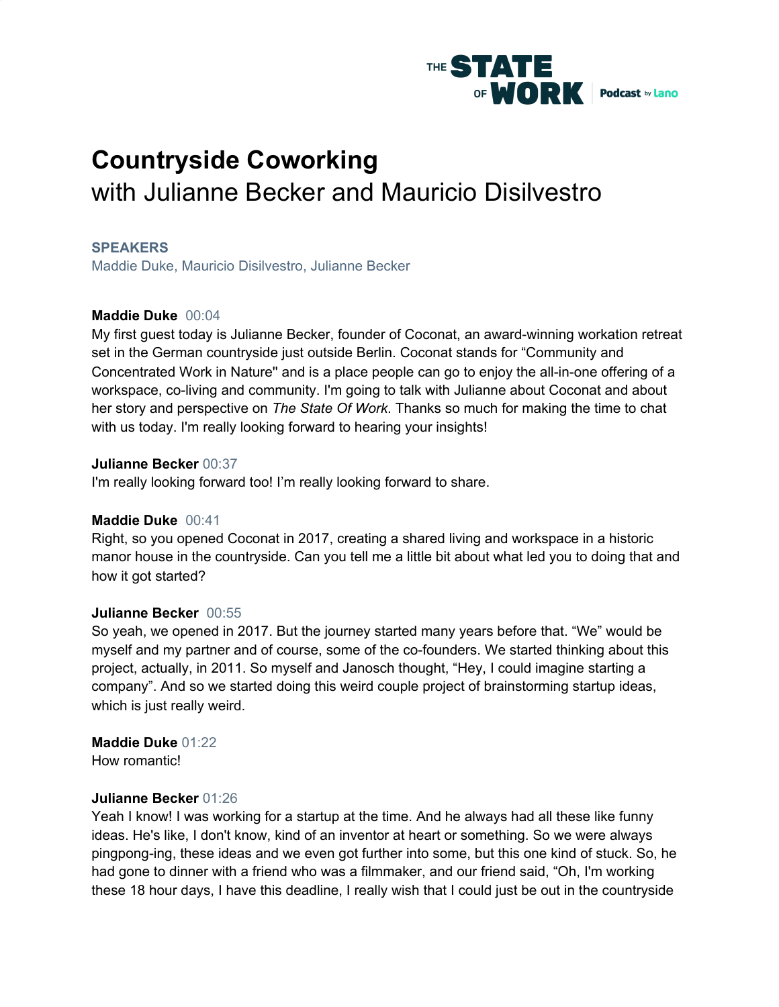

# **Countryside Coworking** with Julianne Becker and Mauricio Disilvestro

#### **SPEAKERS**

Maddie Duke, Mauricio Disilvestro, Julianne Becker

#### **Maddie Duke** 00:04

My first guest today is Julianne Becker, founder of Coconat, an award-winning workation retreat set in the German countryside just outside Berlin. Coconat stands for "Community and Concentrated Work in Nature'' and is a place people can go to enjoy the all-in-one offering of a workspace, co-living and community. I'm going to talk with Julianne about Coconat and about her story and perspective on *The State Of Work*. Thanks so much for making the time to chat with us today. I'm really looking forward to hearing your insights!

#### **Julianne Becker** 00:37

I'm really looking forward too! I'm really looking forward to share.

#### **Maddie Duke** 00:41

Right, so you opened Coconat in 2017, creating a shared living and workspace in a historic manor house in the countryside. Can you tell me a little bit about what led you to doing that and how it got started?

#### **Julianne Becker** 00:55

So yeah, we opened in 2017. But the journey started many years before that. "We" would be myself and my partner and of course, some of the co-founders. We started thinking about this project, actually, in 2011. So myself and Janosch thought, "Hey, I could imagine starting a company". And so we started doing this weird couple project of brainstorming startup ideas, which is just really weird.

**Maddie Duke** 01:22 How romantic!

#### **Julianne Becker** 01:26

Yeah I know! I was working for a startup at the time. And he always had all these like funny ideas. He's like, I don't know, kind of an inventor at heart or something. So we were always pingpong-ing, these ideas and we even got further into some, but this one kind of stuck. So, he had gone to dinner with a friend who was a filmmaker, and our friend said, "Oh, I'm working these 18 hour days, I have this deadline, I really wish that I could just be out in the countryside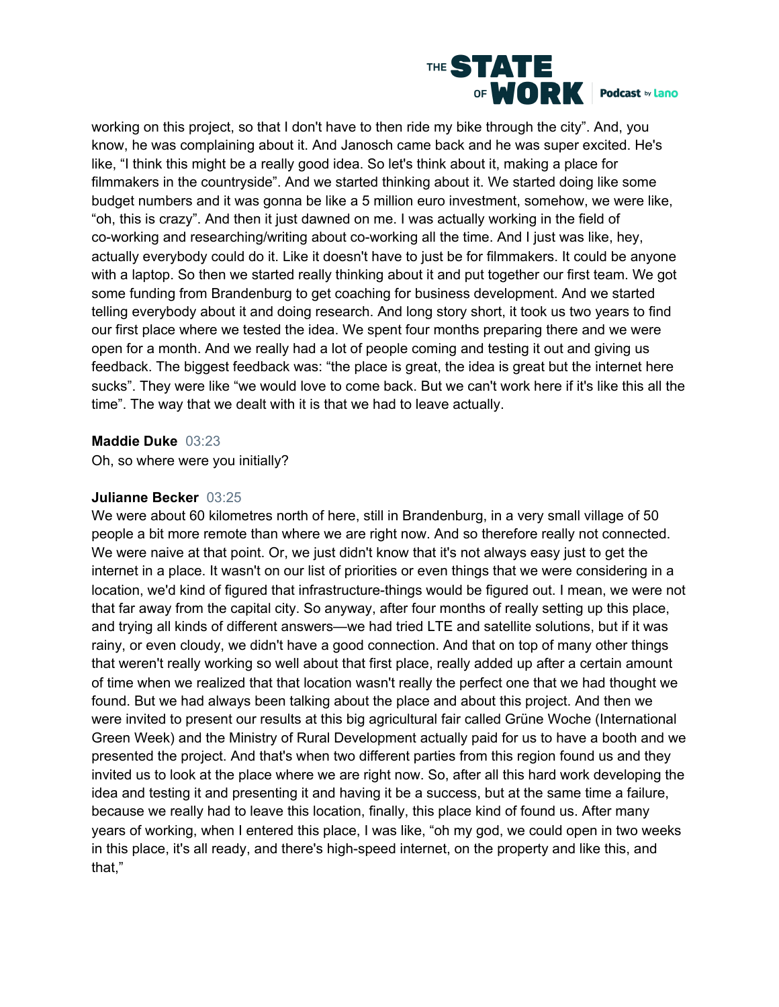

working on this project, so that I don't have to then ride my bike through the city". And, you know, he was complaining about it. And Janosch came back and he was super excited. He's like, "I think this might be a really good idea. So let's think about it, making a place for filmmakers in the countryside". And we started thinking about it. We started doing like some budget numbers and it was gonna be like a 5 million euro investment, somehow, we were like, "oh, this is crazy". And then it just dawned on me. I was actually working in the field of co-working and researching/writing about co-working all the time. And I just was like, hey, actually everybody could do it. Like it doesn't have to just be for filmmakers. It could be anyone with a laptop. So then we started really thinking about it and put together our first team. We got some funding from Brandenburg to get coaching for business development. And we started telling everybody about it and doing research. And long story short, it took us two years to find our first place where we tested the idea. We spent four months preparing there and we were open for a month. And we really had a lot of people coming and testing it out and giving us feedback. The biggest feedback was: "the place is great, the idea is great but the internet here sucks". They were like "we would love to come back. But we can't work here if it's like this all the time". The way that we dealt with it is that we had to leave actually.

#### **Maddie Duke** 03:23

Oh, so where were you initially?

#### **Julianne Becker** 03:25

We were about 60 kilometres north of here, still in Brandenburg, in a very small village of 50 people a bit more remote than where we are right now. And so therefore really not connected. We were naive at that point. Or, we just didn't know that it's not always easy just to get the internet in a place. It wasn't on our list of priorities or even things that we were considering in a location, we'd kind of figured that infrastructure-things would be figured out. I mean, we were not that far away from the capital city. So anyway, after four months of really setting up this place, and trying all kinds of different answers—we had tried LTE and satellite solutions, but if it was rainy, or even cloudy, we didn't have a good connection. And that on top of many other things that weren't really working so well about that first place, really added up after a certain amount of time when we realized that that location wasn't really the perfect one that we had thought we found. But we had always been talking about the place and about this project. And then we were invited to present our results at this big agricultural fair called Grüne Woche (International Green Week) and the Ministry of Rural Development actually paid for us to have a booth and we presented the project. And that's when two different parties from this region found us and they invited us to look at the place where we are right now. So, after all this hard work developing the idea and testing it and presenting it and having it be a success, but at the same time a failure, because we really had to leave this location, finally, this place kind of found us. After many years of working, when I entered this place, I was like, "oh my god, we could open in two weeks in this place, it's all ready, and there's high-speed internet, on the property and like this, and that,"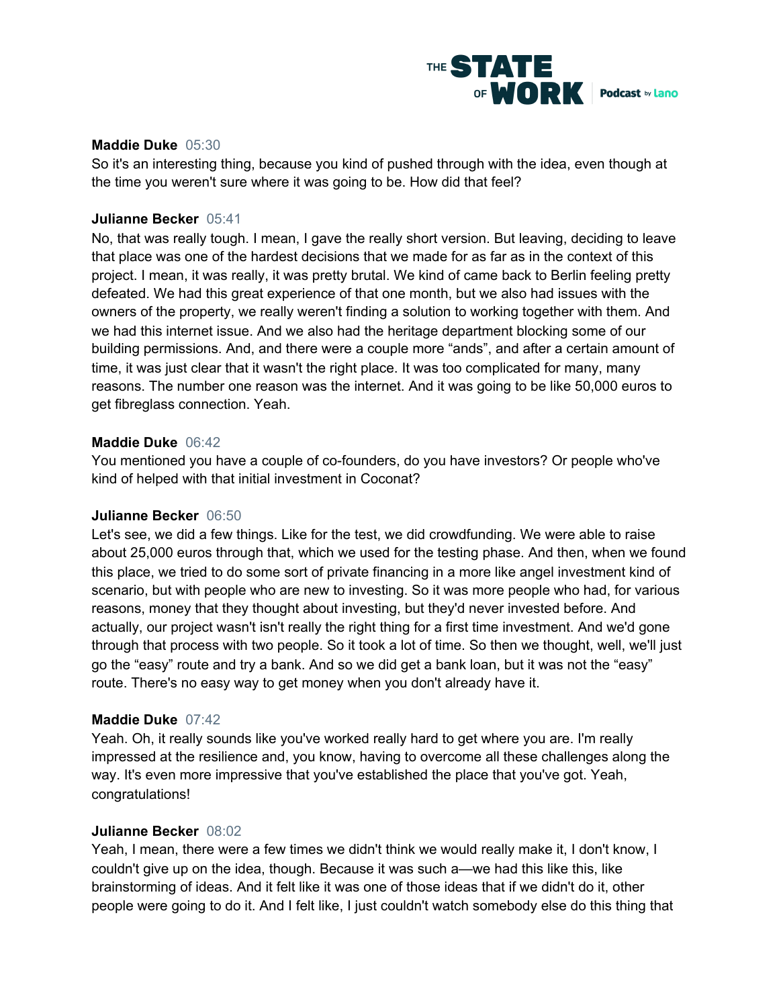

#### **Maddie Duke** 05:30

So it's an interesting thing, because you kind of pushed through with the idea, even though at the time you weren't sure where it was going to be. How did that feel?

#### **Julianne Becker** 05:41

No, that was really tough. I mean, I gave the really short version. But leaving, deciding to leave that place was one of the hardest decisions that we made for as far as in the context of this project. I mean, it was really, it was pretty brutal. We kind of came back to Berlin feeling pretty defeated. We had this great experience of that one month, but we also had issues with the owners of the property, we really weren't finding a solution to working together with them. And we had this internet issue. And we also had the heritage department blocking some of our building permissions. And, and there were a couple more "ands", and after a certain amount of time, it was just clear that it wasn't the right place. It was too complicated for many, many reasons. The number one reason was the internet. And it was going to be like 50,000 euros to get fibreglass connection. Yeah.

#### **Maddie Duke** 06:42

You mentioned you have a couple of co-founders, do you have investors? Or people who've kind of helped with that initial investment in Coconat?

#### **Julianne Becker** 06:50

Let's see, we did a few things. Like for the test, we did crowdfunding. We were able to raise about 25,000 euros through that, which we used for the testing phase. And then, when we found this place, we tried to do some sort of private financing in a more like angel investment kind of scenario, but with people who are new to investing. So it was more people who had, for various reasons, money that they thought about investing, but they'd never invested before. And actually, our project wasn't isn't really the right thing for a first time investment. And we'd gone through that process with two people. So it took a lot of time. So then we thought, well, we'll just go the "easy" route and try a bank. And so we did get a bank loan, but it was not the "easy" route. There's no easy way to get money when you don't already have it.

# **Maddie Duke** 07:42

Yeah. Oh, it really sounds like you've worked really hard to get where you are. I'm really impressed at the resilience and, you know, having to overcome all these challenges along the way. It's even more impressive that you've established the place that you've got. Yeah, congratulations!

# **Julianne Becker** 08:02

Yeah, I mean, there were a few times we didn't think we would really make it, I don't know, I couldn't give up on the idea, though. Because it was such a—we had this like this, like brainstorming of ideas. And it felt like it was one of those ideas that if we didn't do it, other people were going to do it. And I felt like, I just couldn't watch somebody else do this thing that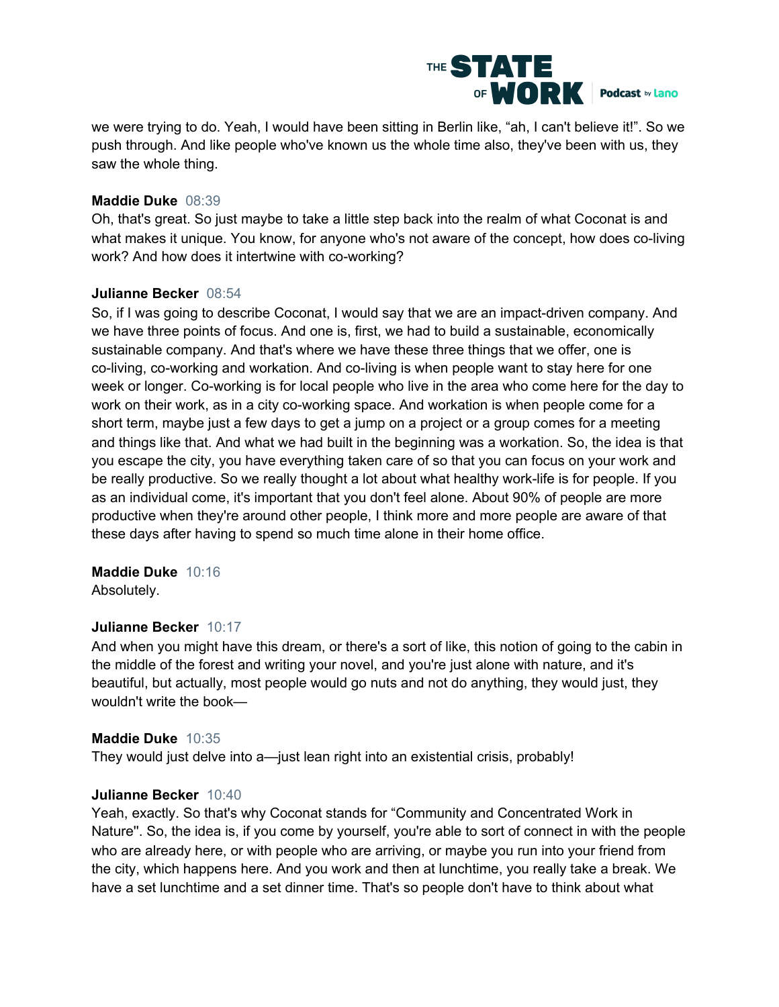

we were trying to do. Yeah, I would have been sitting in Berlin like, "ah, I can't believe it!". So we push through. And like people who've known us the whole time also, they've been with us, they saw the whole thing.

#### **Maddie Duke** 08:39

Oh, that's great. So just maybe to take a little step back into the realm of what Coconat is and what makes it unique. You know, for anyone who's not aware of the concept, how does co-living work? And how does it intertwine with co-working?

#### **Julianne Becker** 08:54

So, if I was going to describe Coconat, I would say that we are an impact-driven company. And we have three points of focus. And one is, first, we had to build a sustainable, economically sustainable company. And that's where we have these three things that we offer, one is co-living, co-working and workation. And co-living is when people want to stay here for one week or longer. Co-working is for local people who live in the area who come here for the day to work on their work, as in a city co-working space. And workation is when people come for a short term, maybe just a few days to get a jump on a project or a group comes for a meeting and things like that. And what we had built in the beginning was a workation. So, the idea is that you escape the city, you have everything taken care of so that you can focus on your work and be really productive. So we really thought a lot about what healthy work-life is for people. If you as an individual come, it's important that you don't feel alone. About 90% of people are more productive when they're around other people, I think more and more people are aware of that these days after having to spend so much time alone in their home office.

# **Maddie Duke** 10:16

Absolutely.

# **Julianne Becker** 10:17

And when you might have this dream, or there's a sort of like, this notion of going to the cabin in the middle of the forest and writing your novel, and you're just alone with nature, and it's beautiful, but actually, most people would go nuts and not do anything, they would just, they wouldn't write the book—

#### **Maddie Duke** 10:35

They would just delve into a—just lean right into an existential crisis, probably!

#### **Julianne Becker** 10:40

Yeah, exactly. So that's why Coconat stands for "Community and Concentrated Work in Nature''. So, the idea is, if you come by yourself, you're able to sort of connect in with the people who are already here, or with people who are arriving, or maybe you run into your friend from the city, which happens here. And you work and then at lunchtime, you really take a break. We have a set lunchtime and a set dinner time. That's so people don't have to think about what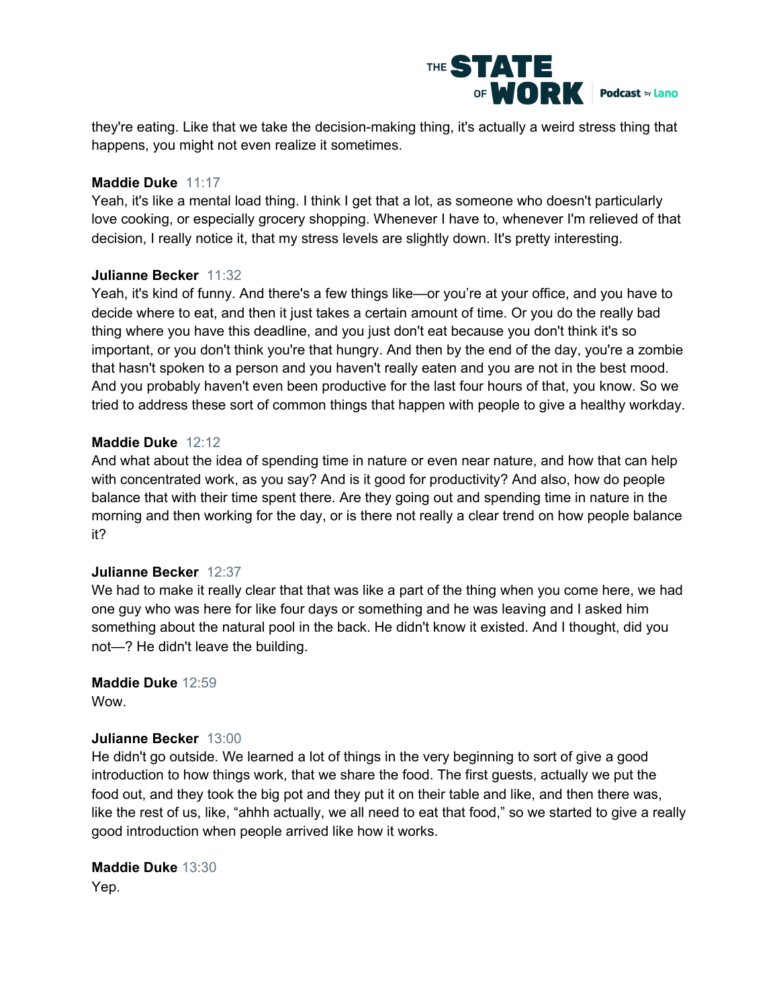

they're eating. Like that we take the decision-making thing, it's actually a weird stress thing that happens, you might not even realize it sometimes.

#### **Maddie Duke** 11:17

Yeah, it's like a mental load thing. I think I get that a lot, as someone who doesn't particularly love cooking, or especially grocery shopping. Whenever I have to, whenever I'm relieved of that decision, I really notice it, that my stress levels are slightly down. It's pretty interesting.

#### **Julianne Becker** 11:32

Yeah, it's kind of funny. And there's a few things like—or you're at your office, and you have to decide where to eat, and then it just takes a certain amount of time. Or you do the really bad thing where you have this deadline, and you just don't eat because you don't think it's so important, or you don't think you're that hungry. And then by the end of the day, you're a zombie that hasn't spoken to a person and you haven't really eaten and you are not in the best mood. And you probably haven't even been productive for the last four hours of that, you know. So we tried to address these sort of common things that happen with people to give a healthy workday.

#### **Maddie Duke** 12:12

And what about the idea of spending time in nature or even near nature, and how that can help with concentrated work, as you say? And is it good for productivity? And also, how do people balance that with their time spent there. Are they going out and spending time in nature in the morning and then working for the day, or is there not really a clear trend on how people balance it?

#### **Julianne Becker** 12:37

We had to make it really clear that that was like a part of the thing when you come here, we had one guy who was here for like four days or something and he was leaving and I asked him something about the natural pool in the back. He didn't know it existed. And I thought, did you not—? He didn't leave the building.

# **Maddie Duke** 12:59

Wow.

#### **Julianne Becker** 13:00

He didn't go outside. We learned a lot of things in the very beginning to sort of give a good introduction to how things work, that we share the food. The first guests, actually we put the food out, and they took the big pot and they put it on their table and like, and then there was, like the rest of us, like, "ahhh actually, we all need to eat that food," so we started to give a really good introduction when people arrived like how it works.

**Maddie Duke** 13:30 Yep.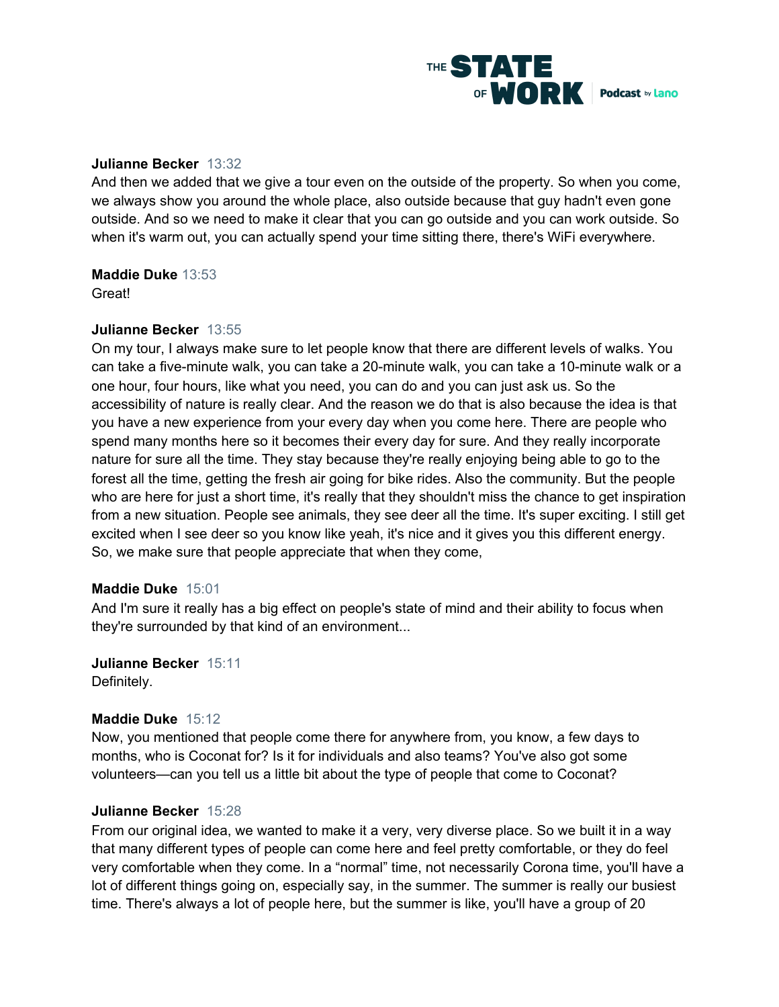

#### **Julianne Becker** 13:32

And then we added that we give a tour even on the outside of the property. So when you come, we always show you around the whole place, also outside because that guy hadn't even gone outside. And so we need to make it clear that you can go outside and you can work outside. So when it's warm out, you can actually spend your time sitting there, there's WiFi everywhere.

# **Maddie Duke** 13:53

Great!

# **Julianne Becker** 13:55

On my tour, I always make sure to let people know that there are different levels of walks. You can take a five-minute walk, you can take a 20-minute walk, you can take a 10-minute walk or a one hour, four hours, like what you need, you can do and you can just ask us. So the accessibility of nature is really clear. And the reason we do that is also because the idea is that you have a new experience from your every day when you come here. There are people who spend many months here so it becomes their every day for sure. And they really incorporate nature for sure all the time. They stay because they're really enjoying being able to go to the forest all the time, getting the fresh air going for bike rides. Also the community. But the people who are here for just a short time, it's really that they shouldn't miss the chance to get inspiration from a new situation. People see animals, they see deer all the time. It's super exciting. I still get excited when I see deer so you know like yeah, it's nice and it gives you this different energy. So, we make sure that people appreciate that when they come,

#### **Maddie Duke** 15:01

And I'm sure it really has a big effect on people's state of mind and their ability to focus when they're surrounded by that kind of an environment...

**Julianne Becker** 15:11 Definitely.

#### **Maddie Duke** 15:12

Now, you mentioned that people come there for anywhere from, you know, a few days to months, who is Coconat for? Is it for individuals and also teams? You've also got some volunteers—can you tell us a little bit about the type of people that come to Coconat?

#### **Julianne Becker** 15:28

From our original idea, we wanted to make it a very, very diverse place. So we built it in a way that many different types of people can come here and feel pretty comfortable, or they do feel very comfortable when they come. In a "normal" time, not necessarily Corona time, you'll have a lot of different things going on, especially say, in the summer. The summer is really our busiest time. There's always a lot of people here, but the summer is like, you'll have a group of 20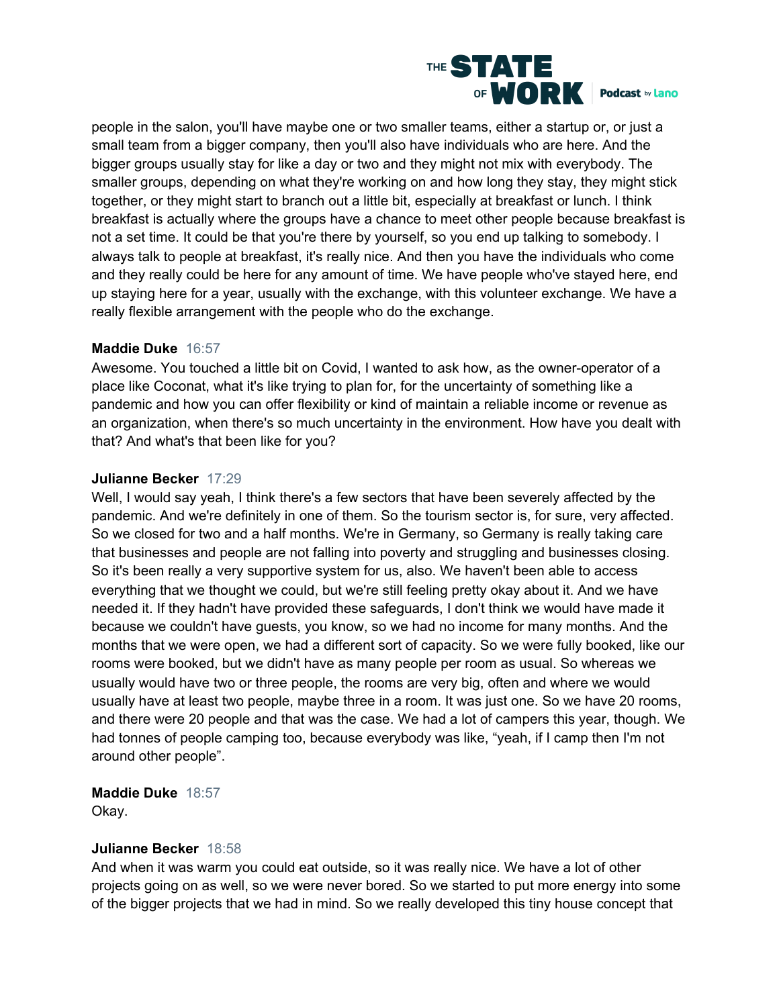

people in the salon, you'll have maybe one or two smaller teams, either a startup or, or just a small team from a bigger company, then you'll also have individuals who are here. And the bigger groups usually stay for like a day or two and they might not mix with everybody. The smaller groups, depending on what they're working on and how long they stay, they might stick together, or they might start to branch out a little bit, especially at breakfast or lunch. I think breakfast is actually where the groups have a chance to meet other people because breakfast is not a set time. It could be that you're there by yourself, so you end up talking to somebody. I always talk to people at breakfast, it's really nice. And then you have the individuals who come and they really could be here for any amount of time. We have people who've stayed here, end up staying here for a year, usually with the exchange, with this volunteer exchange. We have a really flexible arrangement with the people who do the exchange.

# **Maddie Duke** 16:57

Awesome. You touched a little bit on Covid, I wanted to ask how, as the owner-operator of a place like Coconat, what it's like trying to plan for, for the uncertainty of something like a pandemic and how you can offer flexibility or kind of maintain a reliable income or revenue as an organization, when there's so much uncertainty in the environment. How have you dealt with that? And what's that been like for you?

#### **Julianne Becker** 17:29

Well, I would say yeah, I think there's a few sectors that have been severely affected by the pandemic. And we're definitely in one of them. So the tourism sector is, for sure, very affected. So we closed for two and a half months. We're in Germany, so Germany is really taking care that businesses and people are not falling into poverty and struggling and businesses closing. So it's been really a very supportive system for us, also. We haven't been able to access everything that we thought we could, but we're still feeling pretty okay about it. And we have needed it. If they hadn't have provided these safeguards, I don't think we would have made it because we couldn't have guests, you know, so we had no income for many months. And the months that we were open, we had a different sort of capacity. So we were fully booked, like our rooms were booked, but we didn't have as many people per room as usual. So whereas we usually would have two or three people, the rooms are very big, often and where we would usually have at least two people, maybe three in a room. It was just one. So we have 20 rooms, and there were 20 people and that was the case. We had a lot of campers this year, though. We had tonnes of people camping too, because everybody was like, "yeah, if I camp then I'm not around other people".

# **Maddie Duke** 18:57

Okay.

# **Julianne Becker** 18:58

And when it was warm you could eat outside, so it was really nice. We have a lot of other projects going on as well, so we were never bored. So we started to put more energy into some of the bigger projects that we had in mind. So we really developed this tiny house concept that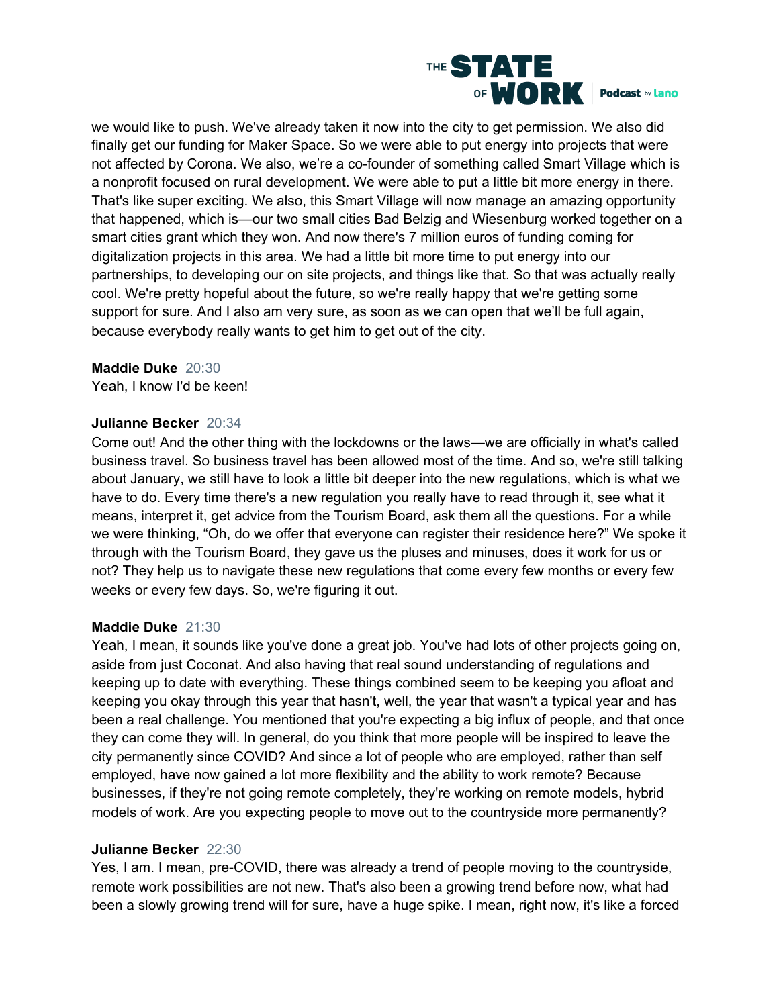

we would like to push. We've already taken it now into the city to get permission. We also did finally get our funding for Maker Space. So we were able to put energy into projects that were not affected by Corona. We also, we're a co-founder of something called Smart Village which is a nonprofit focused on rural development. We were able to put a little bit more energy in there. That's like super exciting. We also, this Smart Village will now manage an amazing opportunity that happened, which is—our two small cities Bad Belzig and Wiesenburg worked together on a smart cities grant which they won. And now there's 7 million euros of funding coming for digitalization projects in this area. We had a little bit more time to put energy into our partnerships, to developing our on site projects, and things like that. So that was actually really cool. We're pretty hopeful about the future, so we're really happy that we're getting some support for sure. And I also am very sure, as soon as we can open that we'll be full again, because everybody really wants to get him to get out of the city.

#### **Maddie Duke** 20:30

Yeah, I know I'd be keen!

#### **Julianne Becker** 20:34

Come out! And the other thing with the lockdowns or the laws—we are officially in what's called business travel. So business travel has been allowed most of the time. And so, we're still talking about January, we still have to look a little bit deeper into the new regulations, which is what we have to do. Every time there's a new regulation you really have to read through it, see what it means, interpret it, get advice from the Tourism Board, ask them all the questions. For a while we were thinking, "Oh, do we offer that everyone can register their residence here?" We spoke it through with the Tourism Board, they gave us the pluses and minuses, does it work for us or not? They help us to navigate these new regulations that come every few months or every few weeks or every few days. So, we're figuring it out.

#### **Maddie Duke** 21:30

Yeah, I mean, it sounds like you've done a great job. You've had lots of other projects going on, aside from just Coconat. And also having that real sound understanding of regulations and keeping up to date with everything. These things combined seem to be keeping you afloat and keeping you okay through this year that hasn't, well, the year that wasn't a typical year and has been a real challenge. You mentioned that you're expecting a big influx of people, and that once they can come they will. In general, do you think that more people will be inspired to leave the city permanently since COVID? And since a lot of people who are employed, rather than self employed, have now gained a lot more flexibility and the ability to work remote? Because businesses, if they're not going remote completely, they're working on remote models, hybrid models of work. Are you expecting people to move out to the countryside more permanently?

#### **Julianne Becker** 22:30

Yes, I am. I mean, pre-COVID, there was already a trend of people moving to the countryside, remote work possibilities are not new. That's also been a growing trend before now, what had been a slowly growing trend will for sure, have a huge spike. I mean, right now, it's like a forced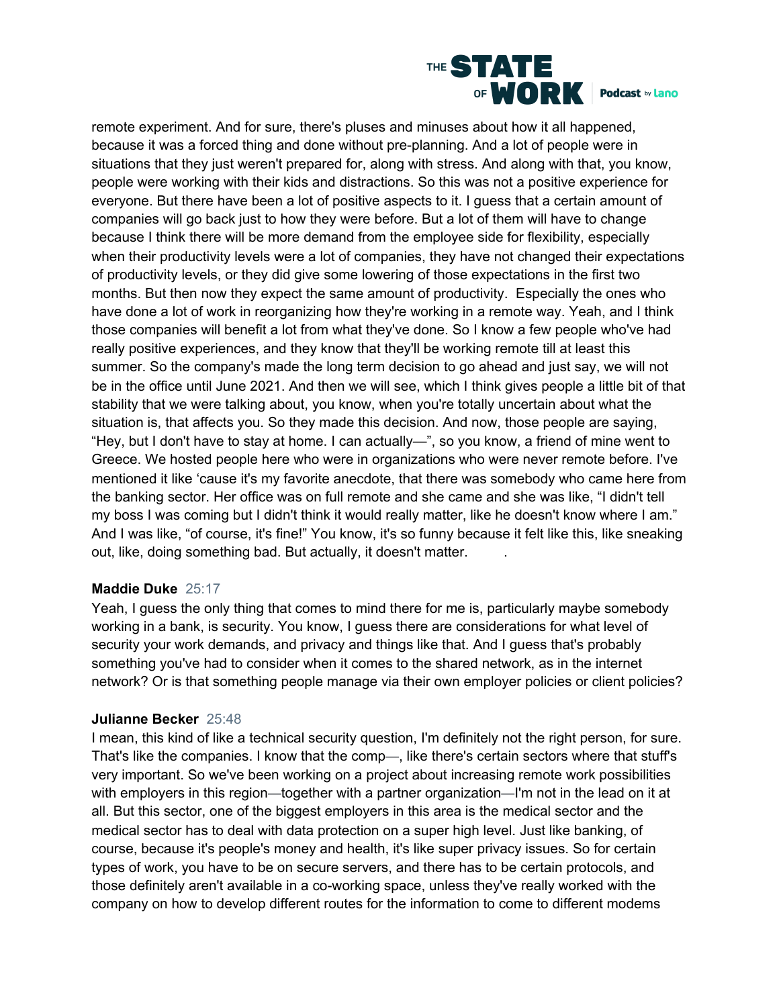

remote experiment. And for sure, there's pluses and minuses about how it all happened, because it was a forced thing and done without pre-planning. And a lot of people were in situations that they just weren't prepared for, along with stress. And along with that, you know, people were working with their kids and distractions. So this was not a positive experience for everyone. But there have been a lot of positive aspects to it. I guess that a certain amount of companies will go back just to how they were before. But a lot of them will have to change because I think there will be more demand from the employee side for flexibility, especially when their productivity levels were a lot of companies, they have not changed their expectations of productivity levels, or they did give some lowering of those expectations in the first two months. But then now they expect the same amount of productivity. Especially the ones who have done a lot of work in reorganizing how they're working in a remote way. Yeah, and I think those companies will benefit a lot from what they've done. So I know a few people who've had really positive experiences, and they know that they'll be working remote till at least this summer. So the company's made the long term decision to go ahead and just say, we will not be in the office until June 2021. And then we will see, which I think gives people a little bit of that stability that we were talking about, you know, when you're totally uncertain about what the situation is, that affects you. So they made this decision. And now, those people are saying, "Hey, but I don't have to stay at home. I can actually—", so you know, a friend of mine went to Greece. We hosted people here who were in organizations who were never remote before. I've mentioned it like 'cause it's my favorite anecdote, that there was somebody who came here from the banking sector. Her office was on full remote and she came and she was like, "I didn't tell my boss I was coming but I didn't think it would really matter, like he doesn't know where I am." And I was like, "of course, it's fine!" You know, it's so funny because it felt like this, like sneaking out, like, doing something bad. But actually, it doesn't matter.

# **Maddie Duke** 25:17

Yeah, I guess the only thing that comes to mind there for me is, particularly maybe somebody working in a bank, is security. You know, I guess there are considerations for what level of security your work demands, and privacy and things like that. And I guess that's probably something you've had to consider when it comes to the shared network, as in the internet network? Or is that something people manage via their own employer policies or client policies?

#### **Julianne Becker** 25:48

I mean, this kind of like a technical security question, I'm definitely not the right person, for sure. That's like the companies. I know that the comp—, like there's certain sectors where that stuff's very important. So we've been working on a project about increasing remote work possibilities with employers in this region—together with a partner organization—I'm not in the lead on it at all. But this sector, one of the biggest employers in this area is the medical sector and the medical sector has to deal with data protection on a super high level. Just like banking, of course, because it's people's money and health, it's like super privacy issues. So for certain types of work, you have to be on secure servers, and there has to be certain protocols, and those definitely aren't available in a co-working space, unless they've really worked with the company on how to develop different routes for the information to come to different modems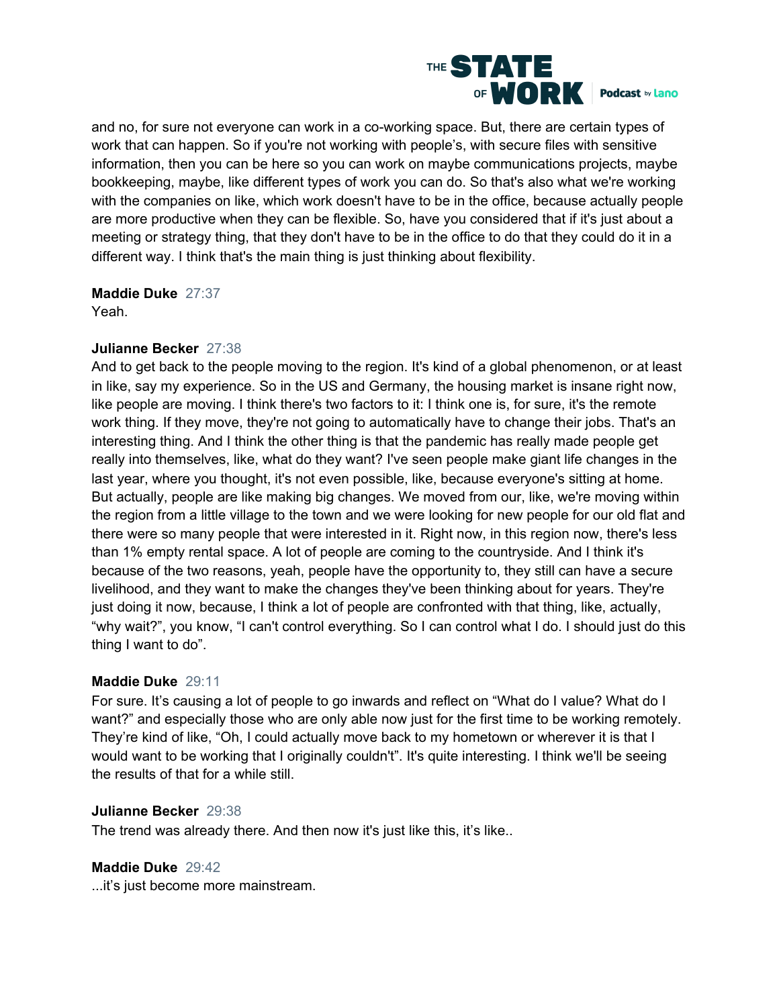

and no, for sure not everyone can work in a co-working space. But, there are certain types of work that can happen. So if you're not working with people's, with secure files with sensitive information, then you can be here so you can work on maybe communications projects, maybe bookkeeping, maybe, like different types of work you can do. So that's also what we're working with the companies on like, which work doesn't have to be in the office, because actually people are more productive when they can be flexible. So, have you considered that if it's just about a meeting or strategy thing, that they don't have to be in the office to do that they could do it in a different way. I think that's the main thing is just thinking about flexibility.

# **Maddie Duke** 27:37

Yeah.

# **Julianne Becker** 27:38

And to get back to the people moving to the region. It's kind of a global phenomenon, or at least in like, say my experience. So in the US and Germany, the housing market is insane right now, like people are moving. I think there's two factors to it: I think one is, for sure, it's the remote work thing. If they move, they're not going to automatically have to change their jobs. That's an interesting thing. And I think the other thing is that the pandemic has really made people get really into themselves, like, what do they want? I've seen people make giant life changes in the last year, where you thought, it's not even possible, like, because everyone's sitting at home. But actually, people are like making big changes. We moved from our, like, we're moving within the region from a little village to the town and we were looking for new people for our old flat and there were so many people that were interested in it. Right now, in this region now, there's less than 1% empty rental space. A lot of people are coming to the countryside. And I think it's because of the two reasons, yeah, people have the opportunity to, they still can have a secure livelihood, and they want to make the changes they've been thinking about for years. They're just doing it now, because, I think a lot of people are confronted with that thing, like, actually, "why wait?", you know, "I can't control everything. So I can control what I do. I should just do this thing I want to do".

# **Maddie Duke** 29:11

For sure. It's causing a lot of people to go inwards and reflect on "What do I value? What do I want?" and especially those who are only able now just for the first time to be working remotely. They're kind of like, "Oh, I could actually move back to my hometown or wherever it is that I would want to be working that I originally couldn't". It's quite interesting. I think we'll be seeing the results of that for a while still.

# **Julianne Becker** 29:38

The trend was already there. And then now it's just like this, it's like..

# **Maddie Duke** 29:42

...it's just become more mainstream.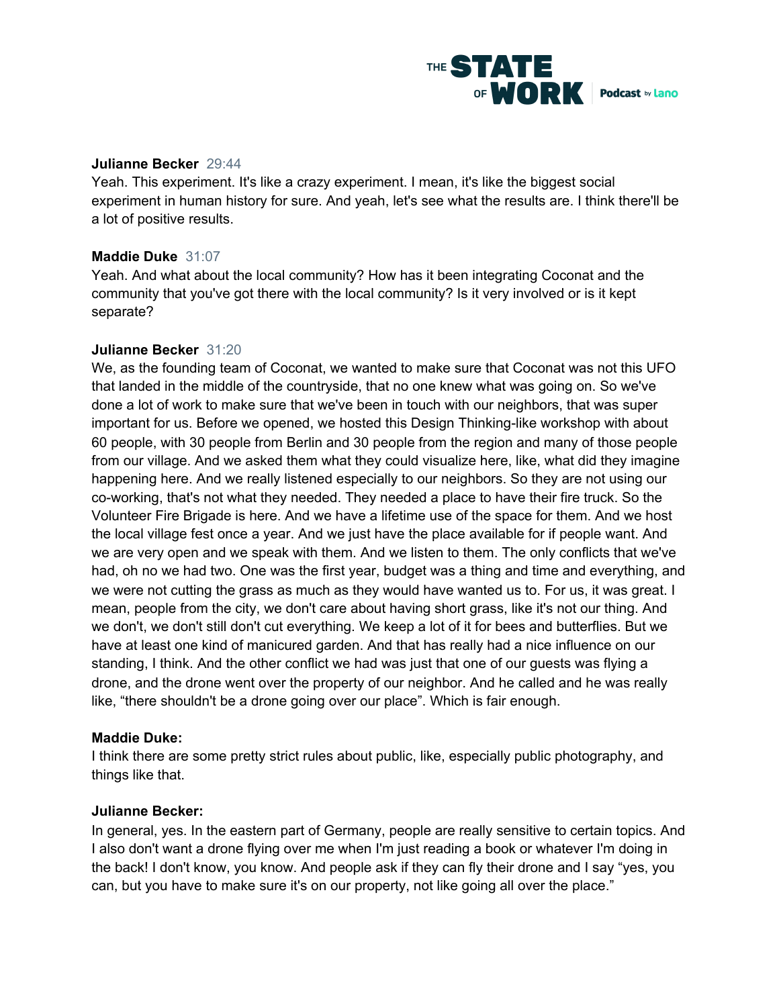

#### **Julianne Becker** 29:44

Yeah. This experiment. It's like a crazy experiment. I mean, it's like the biggest social experiment in human history for sure. And yeah, let's see what the results are. I think there'll be a lot of positive results.

# **Maddie Duke** 31:07

Yeah. And what about the local community? How has it been integrating Coconat and the community that you've got there with the local community? Is it very involved or is it kept separate?

#### **Julianne Becker** 31:20

We, as the founding team of Coconat, we wanted to make sure that Coconat was not this UFO that landed in the middle of the countryside, that no one knew what was going on. So we've done a lot of work to make sure that we've been in touch with our neighbors, that was super important for us. Before we opened, we hosted this Design Thinking-like workshop with about 60 people, with 30 people from Berlin and 30 people from the region and many of those people from our village. And we asked them what they could visualize here, like, what did they imagine happening here. And we really listened especially to our neighbors. So they are not using our co-working, that's not what they needed. They needed a place to have their fire truck. So the Volunteer Fire Brigade is here. And we have a lifetime use of the space for them. And we host the local village fest once a year. And we just have the place available for if people want. And we are very open and we speak with them. And we listen to them. The only conflicts that we've had, oh no we had two. One was the first year, budget was a thing and time and everything, and we were not cutting the grass as much as they would have wanted us to. For us, it was great. I mean, people from the city, we don't care about having short grass, like it's not our thing. And we don't, we don't still don't cut everything. We keep a lot of it for bees and butterflies. But we have at least one kind of manicured garden. And that has really had a nice influence on our standing, I think. And the other conflict we had was just that one of our guests was flying a drone, and the drone went over the property of our neighbor. And he called and he was really like, "there shouldn't be a drone going over our place". Which is fair enough.

# **Maddie Duke:**

I think there are some pretty strict rules about public, like, especially public photography, and things like that.

# **Julianne Becker:**

In general, yes. In the eastern part of Germany, people are really sensitive to certain topics. And I also don't want a drone flying over me when I'm just reading a book or whatever I'm doing in the back! I don't know, you know. And people ask if they can fly their drone and I say "yes, you can, but you have to make sure it's on our property, not like going all over the place."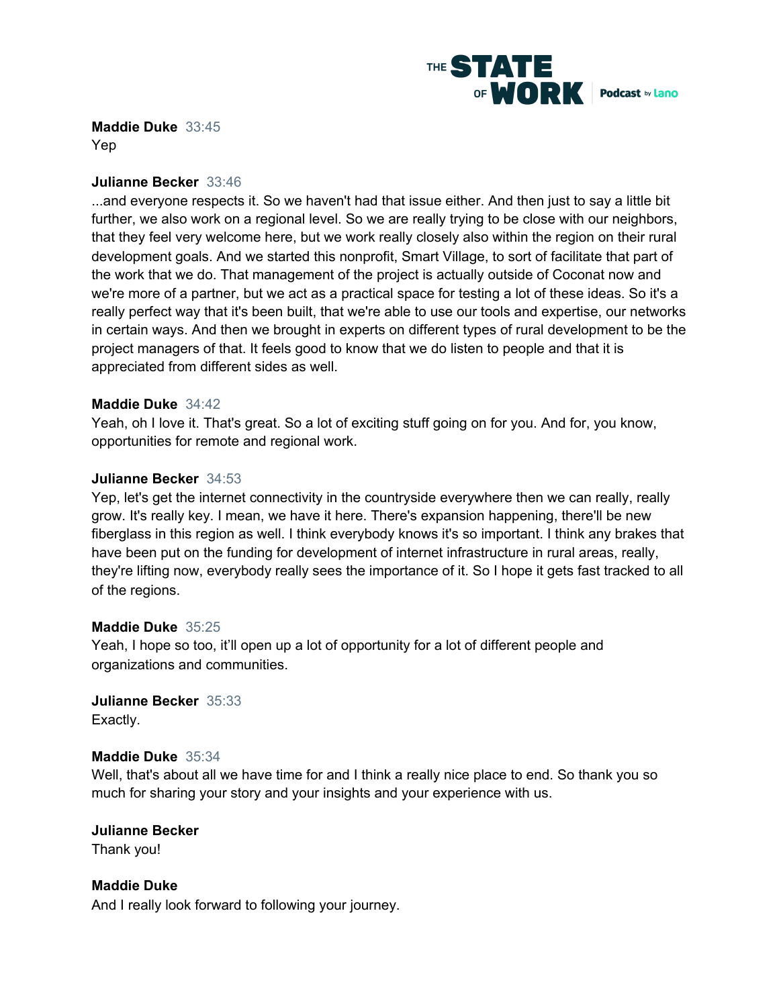

**Maddie Duke** 33:45 Yep

#### **Julianne Becker** 33:46

...and everyone respects it. So we haven't had that issue either. And then just to say a little bit further, we also work on a regional level. So we are really trying to be close with our neighbors, that they feel very welcome here, but we work really closely also within the region on their rural development goals. And we started this nonprofit, Smart Village, to sort of facilitate that part of the work that we do. That management of the project is actually outside of Coconat now and we're more of a partner, but we act as a practical space for testing a lot of these ideas. So it's a really perfect way that it's been built, that we're able to use our tools and expertise, our networks in certain ways. And then we brought in experts on different types of rural development to be the project managers of that. It feels good to know that we do listen to people and that it is appreciated from different sides as well.

#### **Maddie Duke** 34:42

Yeah, oh I love it. That's great. So a lot of exciting stuff going on for you. And for, you know, opportunities for remote and regional work.

#### **Julianne Becker** 34:53

Yep, let's get the internet connectivity in the countryside everywhere then we can really, really grow. It's really key. I mean, we have it here. There's expansion happening, there'll be new fiberglass in this region as well. I think everybody knows it's so important. I think any brakes that have been put on the funding for development of internet infrastructure in rural areas, really, they're lifting now, everybody really sees the importance of it. So I hope it gets fast tracked to all of the regions.

#### **Maddie Duke** 35:25

Yeah, I hope so too, it'll open up a lot of opportunity for a lot of different people and organizations and communities.

**Julianne Becker** 35:33 Exactly.

#### **Maddie Duke** 35:34

Well, that's about all we have time for and I think a really nice place to end. So thank you so much for sharing your story and your insights and your experience with us.

**Julianne Becker** Thank you!

# **Maddie Duke**

And I really look forward to following your journey.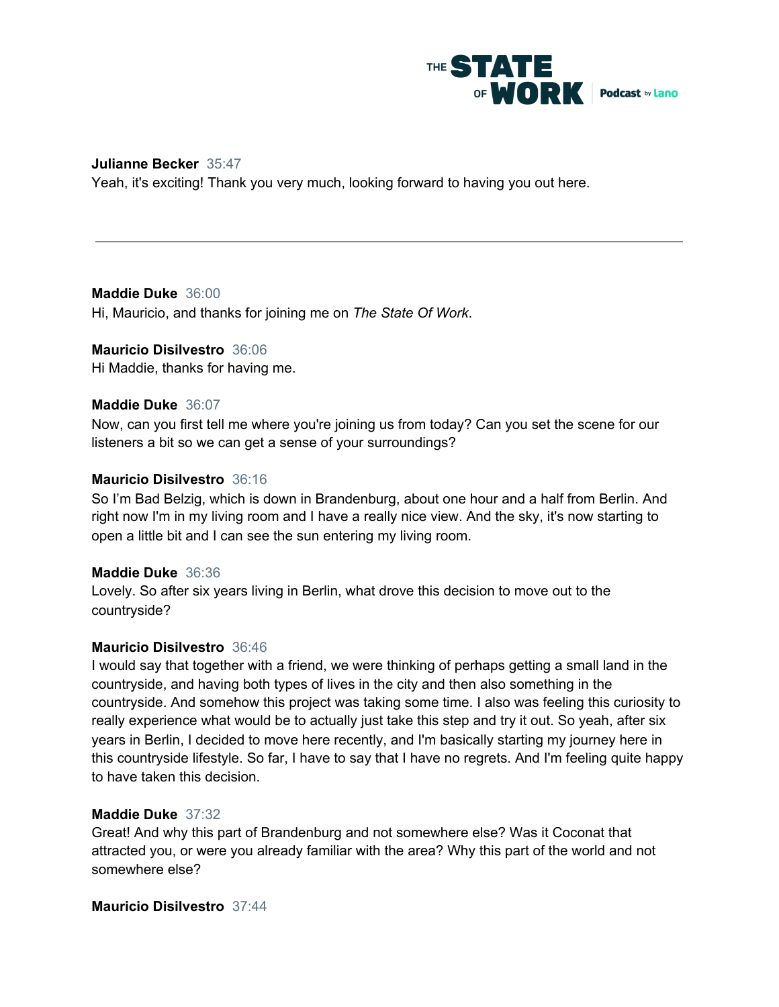

#### **Julianne Becker** 35:47

Yeah, it's exciting! Thank you very much, looking forward to having you out here.

#### **Maddie Duke** 36:00

Hi, Mauricio, and thanks for joining me on *The State Of Work*.

#### **Mauricio Disilvestro** 36:06

Hi Maddie, thanks for having me.

#### **Maddie Duke** 36:07

Now, can you first tell me where you're joining us from today? Can you set the scene for our listeners a bit so we can get a sense of your surroundings?

#### **Mauricio Disilvestro** 36:16

So I'm Bad Belzig, which is down in Brandenburg, about one hour and a half from Berlin. And right now I'm in my living room and I have a really nice view. And the sky, it's now starting to open a little bit and I can see the sun entering my living room.

#### **Maddie Duke** 36:36

Lovely. So after six years living in Berlin, what drove this decision to move out to the countryside?

#### **Mauricio Disilvestro** 36:46

I would say that together with a friend, we were thinking of perhaps getting a small land in the countryside, and having both types of lives in the city and then also something in the countryside. And somehow this project was taking some time. I also was feeling this curiosity to really experience what would be to actually just take this step and try it out. So yeah, after six years in Berlin, I decided to move here recently, and I'm basically starting my journey here in this countryside lifestyle. So far, I have to say that I have no regrets. And I'm feeling quite happy to have taken this decision.

#### **Maddie Duke** 37:32

Great! And why this part of Brandenburg and not somewhere else? Was it Coconat that attracted you, or were you already familiar with the area? Why this part of the world and not somewhere else?

**Mauricio Disilvestro** 37:44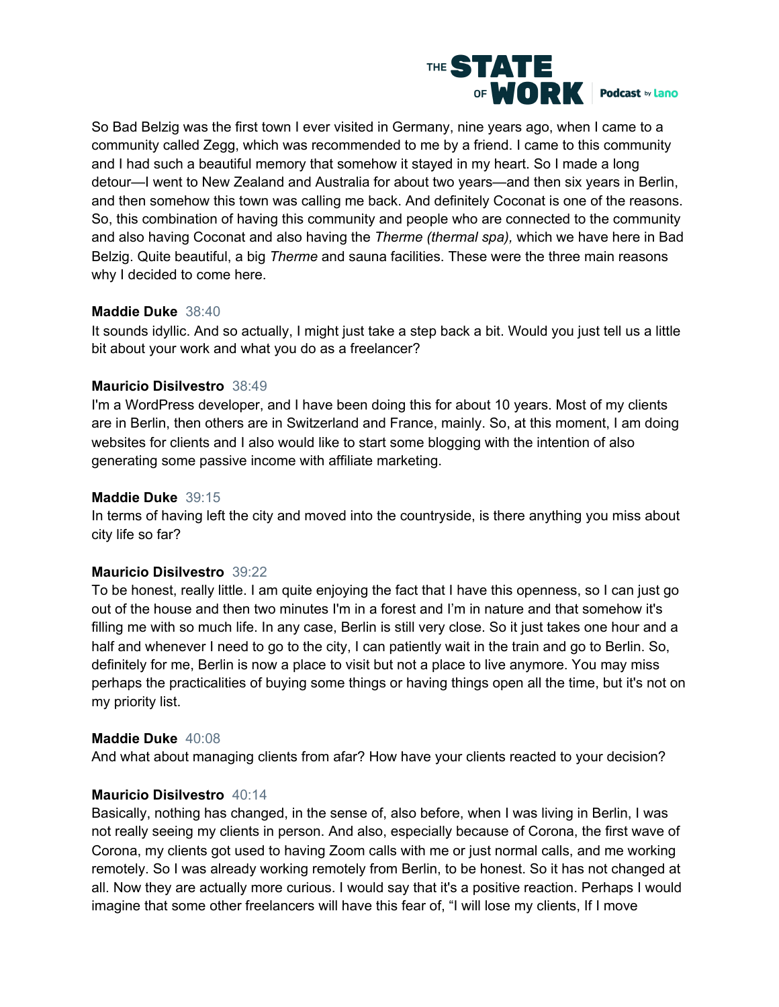

So Bad Belzig was the first town I ever visited in Germany, nine years ago, when I came to a community called Zegg, which was recommended to me by a friend. I came to this community and I had such a beautiful memory that somehow it stayed in my heart. So I made a long detour—I went to New Zealand and Australia for about two years—and then six years in Berlin, and then somehow this town was calling me back. And definitely Coconat is one of the reasons. So, this combination of having this community and people who are connected to the community and also having Coconat and also having the *Therme (thermal spa),* which we have here in Bad Belzig. Quite beautiful, a big *Therme* and sauna facilities. These were the three main reasons why I decided to come here.

# **Maddie Duke** 38:40

It sounds idyllic. And so actually, I might just take a step back a bit. Would you just tell us a little bit about your work and what you do as a freelancer?

# **Mauricio Disilvestro** 38:49

I'm a WordPress developer, and I have been doing this for about 10 years. Most of my clients are in Berlin, then others are in Switzerland and France, mainly. So, at this moment, I am doing websites for clients and I also would like to start some blogging with the intention of also generating some passive income with affiliate marketing.

# **Maddie Duke** 39:15

In terms of having left the city and moved into the countryside, is there anything you miss about city life so far?

# **Mauricio Disilvestro** 39:22

To be honest, really little. I am quite enjoying the fact that I have this openness, so I can just go out of the house and then two minutes I'm in a forest and I'm in nature and that somehow it's filling me with so much life. In any case, Berlin is still very close. So it just takes one hour and a half and whenever I need to go to the city, I can patiently wait in the train and go to Berlin. So, definitely for me, Berlin is now a place to visit but not a place to live anymore. You may miss perhaps the practicalities of buying some things or having things open all the time, but it's not on my priority list.

# **Maddie Duke** 40:08

And what about managing clients from afar? How have your clients reacted to your decision?

# **Mauricio Disilvestro** 40:14

Basically, nothing has changed, in the sense of, also before, when I was living in Berlin, I was not really seeing my clients in person. And also, especially because of Corona, the first wave of Corona, my clients got used to having Zoom calls with me or just normal calls, and me working remotely. So I was already working remotely from Berlin, to be honest. So it has not changed at all. Now they are actually more curious. I would say that it's a positive reaction. Perhaps I would imagine that some other freelancers will have this fear of, "I will lose my clients, If I move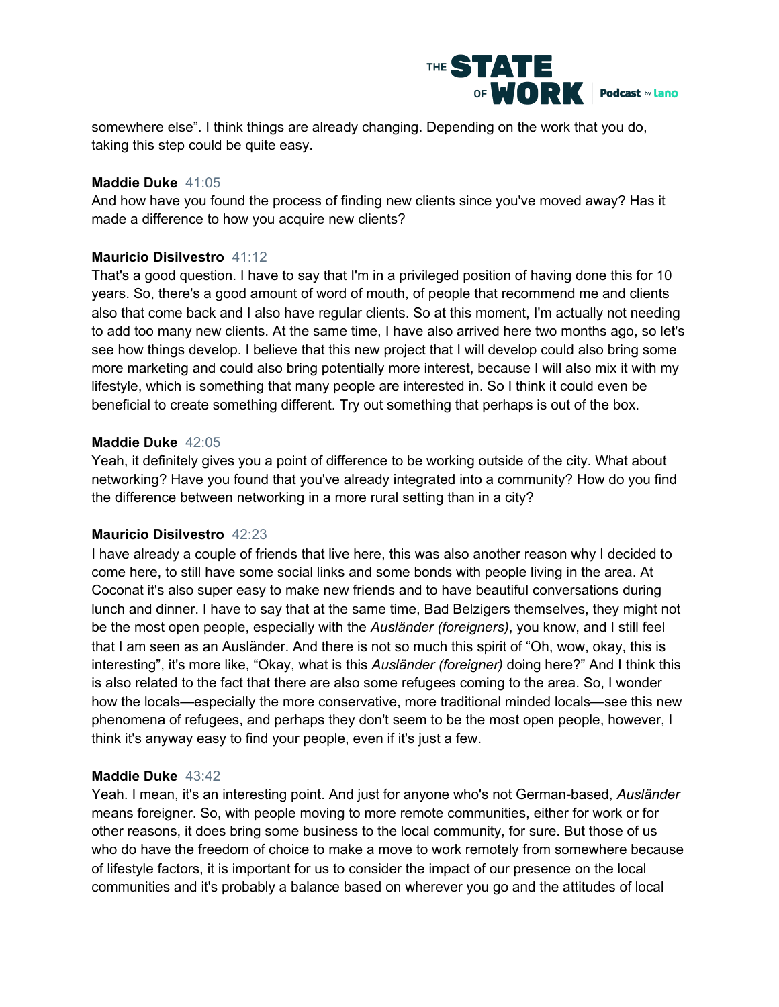

somewhere else". I think things are already changing. Depending on the work that you do, taking this step could be quite easy.

#### **Maddie Duke** 41:05

And how have you found the process of finding new clients since you've moved away? Has it made a difference to how you acquire new clients?

# **Mauricio Disilvestro** 41:12

That's a good question. I have to say that I'm in a privileged position of having done this for 10 years. So, there's a good amount of word of mouth, of people that recommend me and clients also that come back and I also have regular clients. So at this moment, I'm actually not needing to add too many new clients. At the same time, I have also arrived here two months ago, so let's see how things develop. I believe that this new project that I will develop could also bring some more marketing and could also bring potentially more interest, because I will also mix it with my lifestyle, which is something that many people are interested in. So I think it could even be beneficial to create something different. Try out something that perhaps is out of the box.

#### **Maddie Duke** 42:05

Yeah, it definitely gives you a point of difference to be working outside of the city. What about networking? Have you found that you've already integrated into a community? How do you find the difference between networking in a more rural setting than in a city?

# **Mauricio Disilvestro** 42:23

I have already a couple of friends that live here, this was also another reason why I decided to come here, to still have some social links and some bonds with people living in the area. At Coconat it's also super easy to make new friends and to have beautiful conversations during lunch and dinner. I have to say that at the same time, Bad Belzigers themselves, they might not be the most open people, especially with the *Ausländer (foreigners)*, you know, and I still feel that I am seen as an Ausländer. And there is not so much this spirit of "Oh, wow, okay, this is interesting", it's more like, "Okay, what is this *Ausländer (foreigner)* doing here?" And I think this is also related to the fact that there are also some refugees coming to the area. So, I wonder how the locals—especially the more conservative, more traditional minded locals—see this new phenomena of refugees, and perhaps they don't seem to be the most open people, however, I think it's anyway easy to find your people, even if it's just a few.

# **Maddie Duke** 43:42

Yeah. I mean, it's an interesting point. And just for anyone who's not German-based, *Ausländer* means foreigner. So, with people moving to more remote communities, either for work or for other reasons, it does bring some business to the local community, for sure. But those of us who do have the freedom of choice to make a move to work remotely from somewhere because of lifestyle factors, it is important for us to consider the impact of our presence on the local communities and it's probably a balance based on wherever you go and the attitudes of local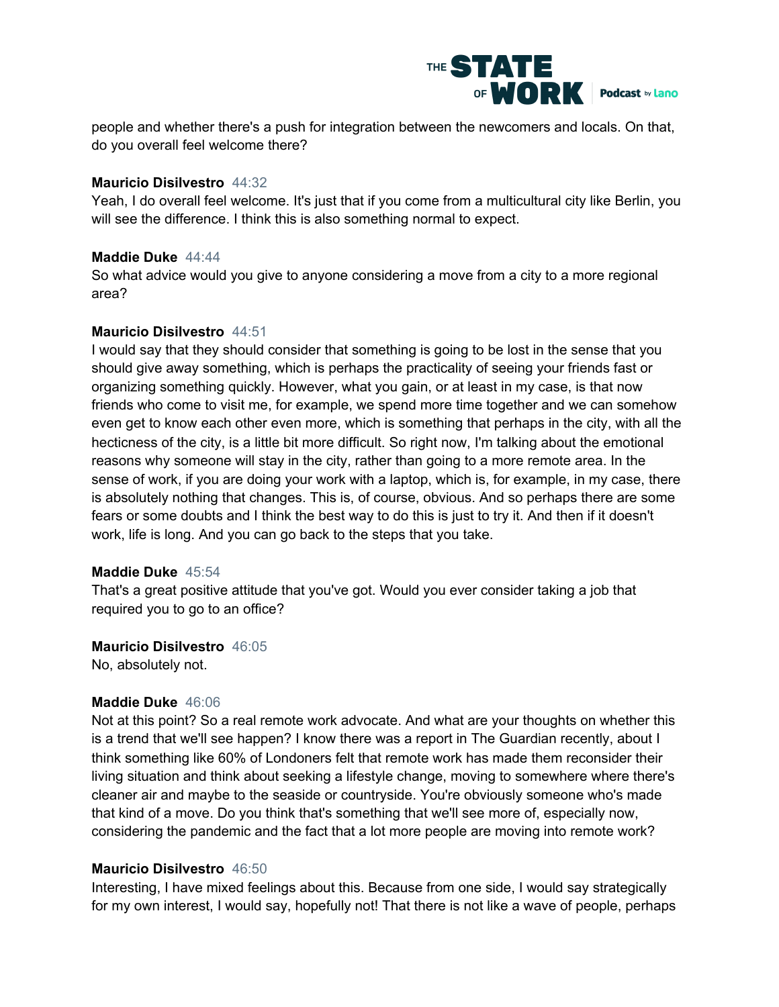

people and whether there's a push for integration between the newcomers and locals. On that, do you overall feel welcome there?

#### **Mauricio Disilvestro** 44:32

Yeah, I do overall feel welcome. It's just that if you come from a multicultural city like Berlin, you will see the difference. I think this is also something normal to expect.

#### **Maddie Duke** 44:44

So what advice would you give to anyone considering a move from a city to a more regional area?

#### **Mauricio Disilvestro** 44:51

I would say that they should consider that something is going to be lost in the sense that you should give away something, which is perhaps the practicality of seeing your friends fast or organizing something quickly. However, what you gain, or at least in my case, is that now friends who come to visit me, for example, we spend more time together and we can somehow even get to know each other even more, which is something that perhaps in the city, with all the hecticness of the city, is a little bit more difficult. So right now, I'm talking about the emotional reasons why someone will stay in the city, rather than going to a more remote area. In the sense of work, if you are doing your work with a laptop, which is, for example, in my case, there is absolutely nothing that changes. This is, of course, obvious. And so perhaps there are some fears or some doubts and I think the best way to do this is just to try it. And then if it doesn't work, life is long. And you can go back to the steps that you take.

#### **Maddie Duke** 45:54

That's a great positive attitude that you've got. Would you ever consider taking a job that required you to go to an office?

# **Mauricio Disilvestro** 46:05

No, absolutely not.

#### **Maddie Duke** 46:06

Not at this point? So a real remote work advocate. And what are your thoughts on whether this is a trend that we'll see happen? I know there was a report in The Guardian recently, about I think something like 60% of Londoners felt that remote work has made them reconsider their living situation and think about seeking a lifestyle change, moving to somewhere where there's cleaner air and maybe to the seaside or countryside. You're obviously someone who's made that kind of a move. Do you think that's something that we'll see more of, especially now, considering the pandemic and the fact that a lot more people are moving into remote work?

# **Mauricio Disilvestro** 46:50

Interesting, I have mixed feelings about this. Because from one side, I would say strategically for my own interest, I would say, hopefully not! That there is not like a wave of people, perhaps